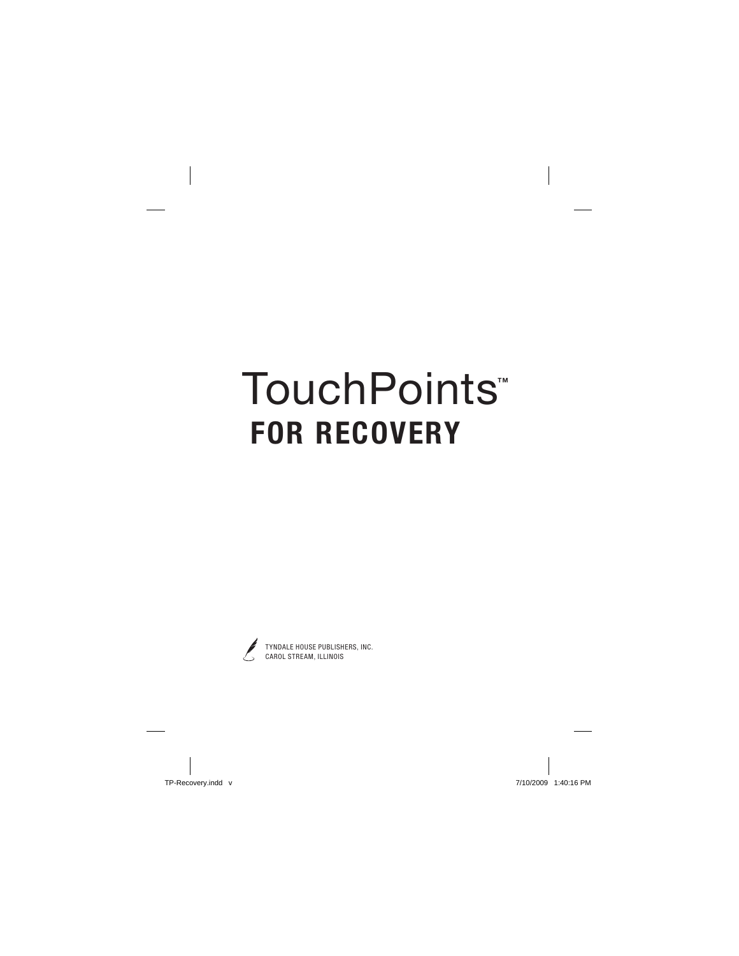# **TouchPoints**™ **FOR RECOVERY**



TYNDALE HOUSE PUBLISHERS, INC. CAROL STREAM, ILLINOIS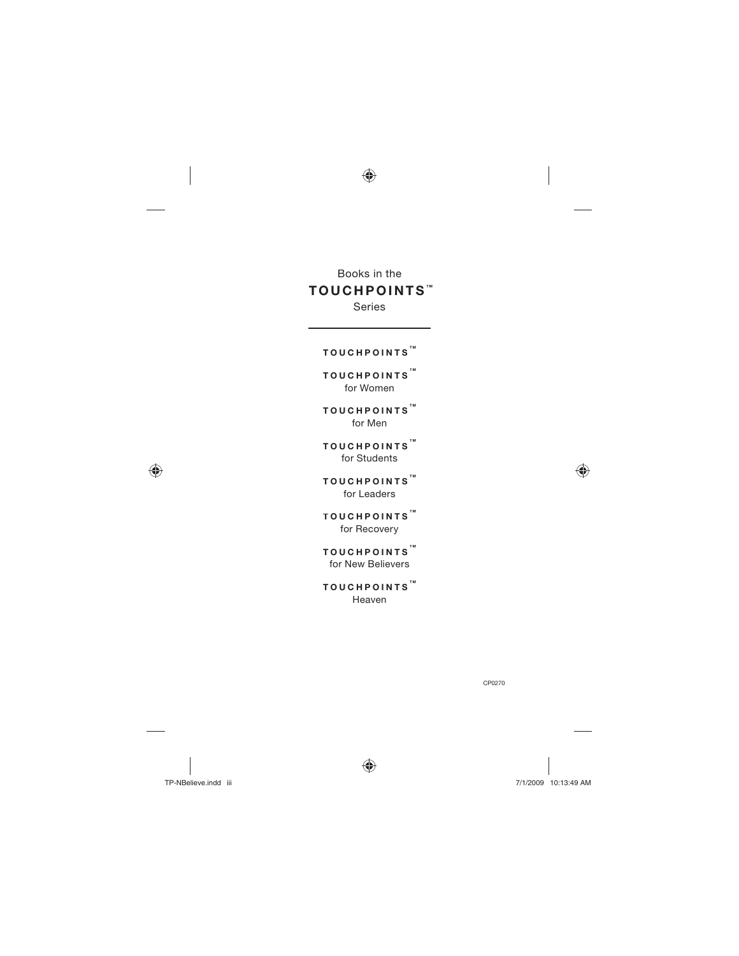## Books in the **TOUC H POINTS TM**

Series

## **T OUCHPOINTS TM**

**T OUCHPOINTS TM** for Women

**T OUCHPOINTS TM** for Men

**T OUCHPOINTS TM** for Students

**T OUCHPOINTS TM** for Leaders

**T OUCHPOINTS TM** for Recovery

**T OUCHPOINTS TM** for New Believers

**T OUCHPOINTS TM** Heaven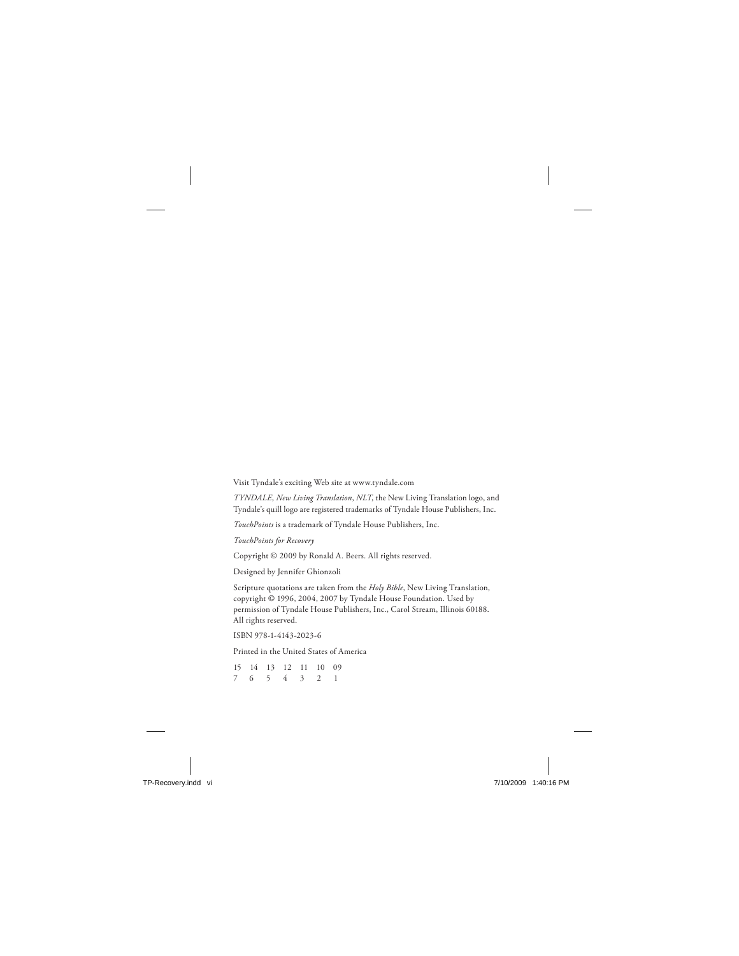Visit Tyndale's exciting Web site at www.tyndale.com

*TYNDALE*, *New Living Translation*, *NLT*, the New Living Translation logo, and Tyndale's quill logo are registered trademarks of Tyndale House Publishers, Inc.

*TouchPoints* is a trademark of Tyndale House Publishers, Inc.

*TouchPoints for Recovery*

Copyright © 2009 by Ronald A. Beers. All rights reserved.

Designed by Jennifer Ghionzoli

Scripture quotations are taken from the *Holy Bible*, New Living Translation, copyright © 1996, 2004, 2007 by Tyndale House Foundation. Used by permission of Tyndale House Publishers, Inc., Carol Stream, Illinois 60188. All rights reserved.

ISBN 978-1-4143-2023-6

Printed in the United States of America

15 14 13 12 11 10 09 7 6 5 4 3 2 1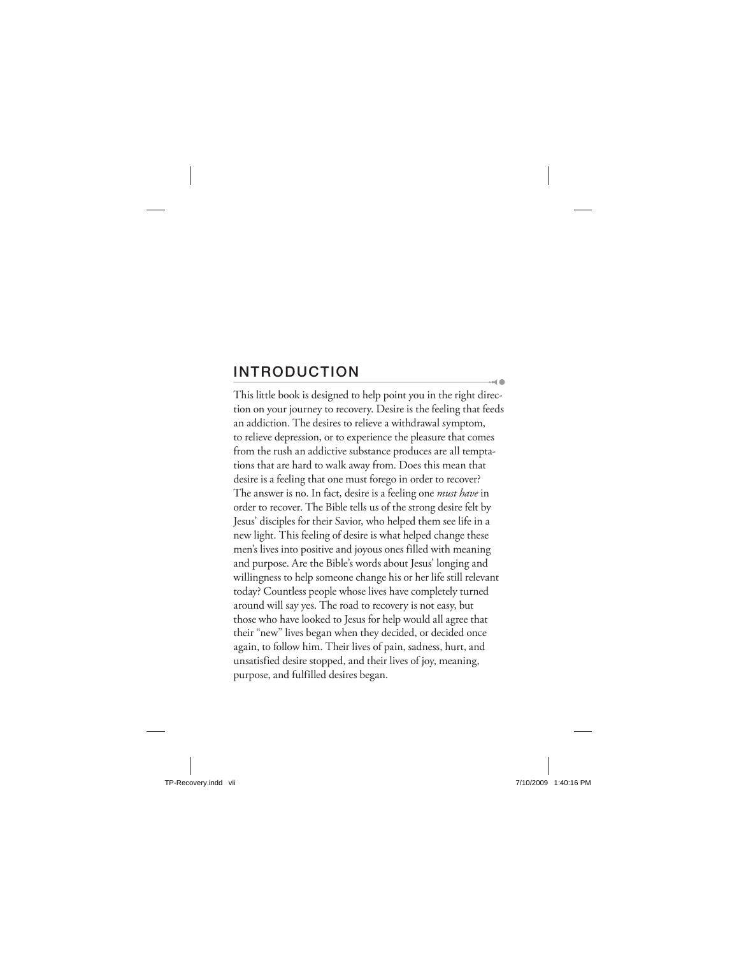## **INTRODUCTION**

This little book is designed to help point you in the right direction on your journey to recovery. Desire is the feeling that feeds an addiction. The desires to relieve a withdrawal symptom, to relieve depression, or to experience the pleasure that comes from the rush an addictive substance produces are all temptations that are hard to walk away from. Does this mean that desire is a feeling that one must forego in order to recover? The answer is no. In fact, desire is a feeling one *must have* in order to recover. The Bible tells us of the strong desire felt by Jesus' disciples for their Savior, who helped them see life in a new light. This feeling of desire is what helped change these men's lives into positive and joyous ones filled with meaning and purpose. Are the Bible's words about Jesus' longing and willingness to help someone change his or her life still relevant today? Countless people whose lives have completely turned around will say yes. The road to recovery is not easy, but those who have looked to Jesus for help would all agree that their "new" lives began when they decided, or decided once again, to follow him. Their lives of pain, sadness, hurt, and unsatisfied desire stopped, and their lives of joy, meaning, purpose, and fulfilled desires began.

 $\sim$  0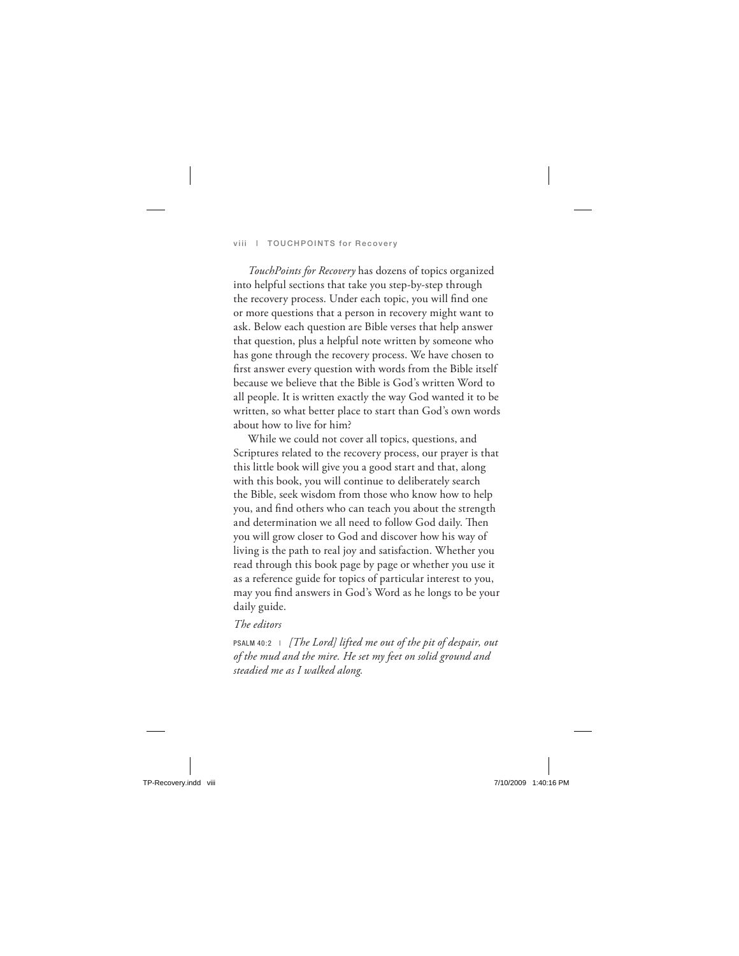*TouchPoints for Recovery* has dozens of topics organized into helpful sections that take you step-by-step through the recovery process. Under each topic, you will find one or more questions that a person in recovery might want to ask. Below each question are Bible verses that help answer that question, plus a helpful note written by someone who has gone through the recovery process. We have chosen to first answer every question with words from the Bible itself because we believe that the Bible is God's written Word to all people. It is written exactly the way God wanted it to be written, so what better place to start than God's own words about how to live for him?

While we could not cover all topics, questions, and Scriptures related to the recovery process, our prayer is that this little book will give you a good start and that, along with this book, you will continue to deliberately search the Bible, seek wisdom from those who know how to help you, and find others who can teach you about the strength and determination we all need to follow God daily. Then you will grow closer to God and discover how his way of living is the path to real joy and satisfaction. Whether you read through this book page by page or whether you use it as a reference guide for topics of particular interest to you, may you find answers in God's Word as he longs to be your daily guide.

## *The editors*

PSALM 40:2 | *[The Lord] lifted me out of the pit of despair, out of the mud and the mire. He set my feet on solid ground and steadied me as I walked along.*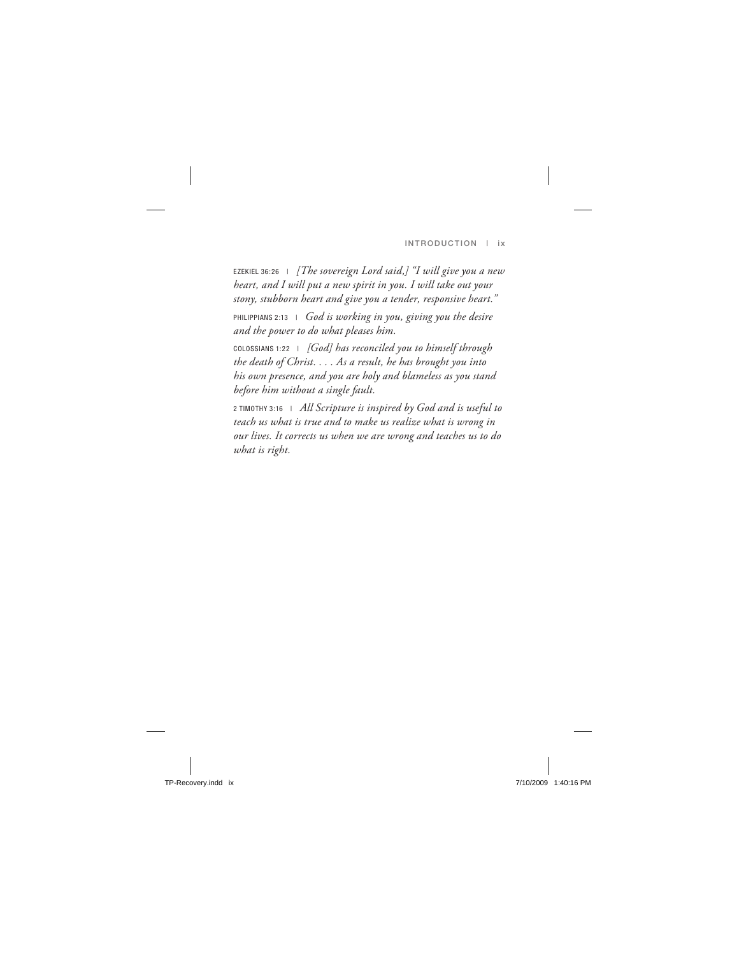EZEKIEL 36:26 | *[The sovereign Lord said,] "I will give you a new heart, and I will put a new spirit in you. I will take out your stony, stubborn heart and give you a tender, responsive heart."* PHILIPPIANS 2:13 | *God is working in you, giving you the desire and the power to do what pleases him.*

COLOSSIANS 1:22 | *[God] has reconciled you to himself through the death of Christ. . . . As a result, he has brought you into his own presence, and you are holy and blameless as you stand before him without a single fault.*

2 TIMOTHY 3:16 | *All Scripture is inspired by God and is useful to teach us what is true and to make us realize what is wrong in our lives. It corrects us when we are wrong and teaches us to do what is right.*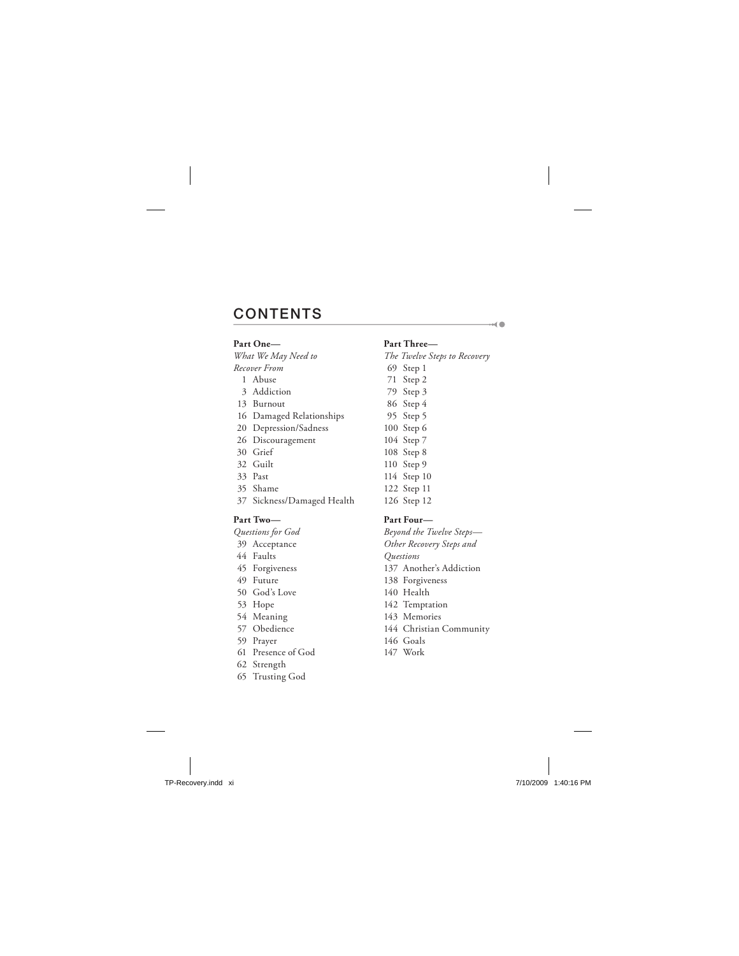## **CONTENTS**

#### **Part One—**

*What We May Need to Recover From*

- 1 Abuse
- 3 Addiction
- 13 Burnout
- 16 Damaged Relationships
- 20 Depression/Sadness
- 26 Discouragement
- 30 Grief
- 32 Guilt
- 33 Past
- 35 Shame
- 37 Sickness/Damaged Health

#### **Part Two—**

*Questions for God*

- 39 Acceptance
- 44 Faults
- 45 Forgiveness
- 49 Future
- 50 God's Love
- 53 Hope
- 54 Meaning
- 57 Obedience
- 59 Prayer
- 61 Presence of God
- 62 Strength
- 65 Trusting God

#### **Part Three—**

*The Twelve Steps to Recovery* 69 Step 1

 $\sim$  0

- 71 Step 2
- 79 Step 3
- 86 Step 4
- 95 Step 5
- 100 Step 6
- 104 Step 7
- 108 Step 8
- 110 Step 9
- 114 Step 10
- 122 Step 11
- 126 Step 12

#### **Part Four—**

*Beyond the Twelve Steps— Other Recovery Steps and Questions* 137 Another's Addiction 138 Forgiveness 140 Health 142 Temptation 143 Memories 144 Christian Community 146 Goals

147 Work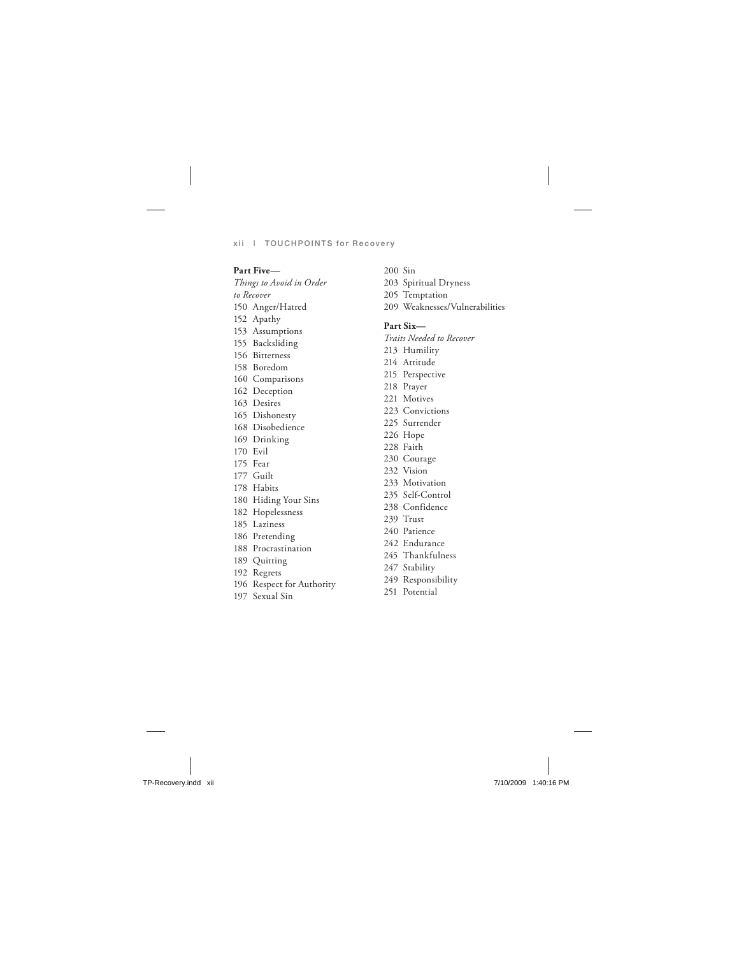#### **Part Five—**

*Things to Avoid in Order to Recover* 150 Anger/Hatred 152 Apathy 153 Assumptions 155 Backsliding 156 Bitterness 158 Boredom 160 Comparisons 162 Deception 163 Desires 165 Dishonesty 168 Disobedience 169 Drinking 170 Evil 175 Fear 177 Guilt 178 Habits 180 Hiding Your Sins 182 Hopelessness 185 Laziness 186 Pretending 188 Procrastination 189 Quitting 192 Regrets 196 Respect for Authority

197 Sexual Sin

- 200 Sin
- 203 Spiritual Dryness
- 205 Temptation
- 209 Weaknesses/Vulnerabilities

#### **Part Six—**

*Traits Needed to Recover*

- 213 Humility
- 214 Attitude
- 215 Perspective
- 218 Prayer
- 221 Motives
- 223 Convictions
- 225 Surrender
- 226 Hope
- 228 Faith
- 230 Courage
- 232 Vision
- 233 Motivation
- 235 Self-Control
- 238 Confidence
- 239 Trust
- 240 Patience
- 242 Endurance
- 245 Thankfulness
- 247 Stability
- 249 Responsibility
- 251 Potential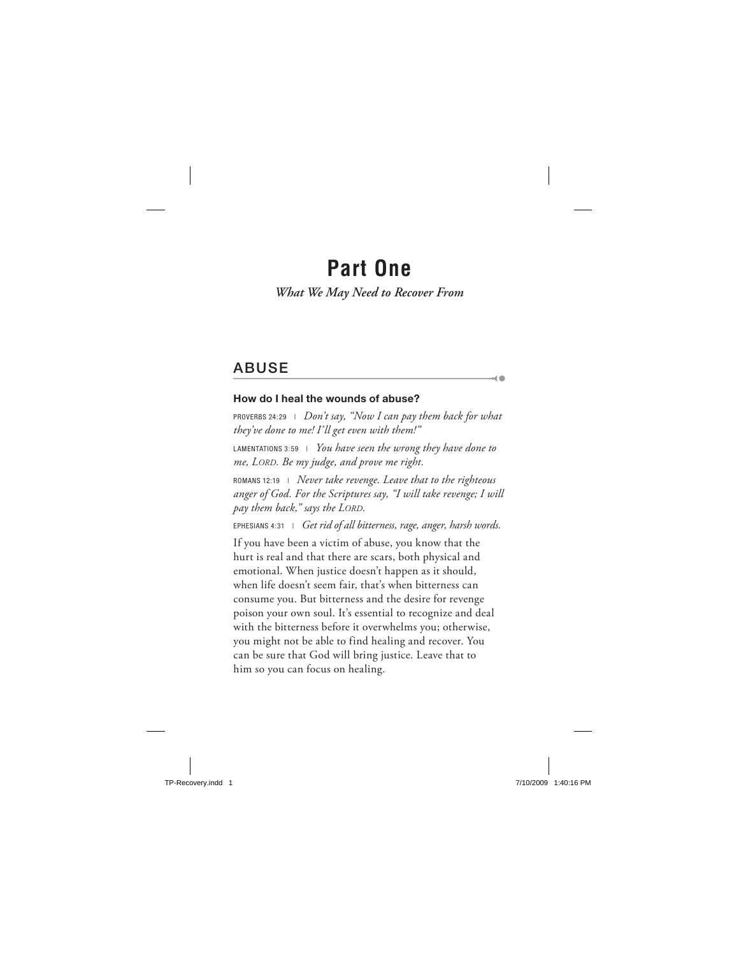## **Part One**

## *What We May Need to Recover From*

## **ABUSE**

#### **How do I heal the wounds of abuse?**

PROVERBS 24:29 | *Don't say, "Now I can pay them back for what they've done to me! I'll get even with them!"*

 $\sim$  (  $\blacksquare$ 

LAMENTATIONS 3:59 | *You have seen the wrong they have done to me, LORD. Be my judge, and prove me right.*

ROMANS 12:19 | *Never take revenge. Leave that to the righteous anger of God. For the Scriptures say, "I will take revenge; I will pay them back," says the LORD.*

EPHESIANS 4:31 | *Get rid of all bitterness, rage, anger, harsh words.*

If you have been a victim of abuse, you know that the hurt is real and that there are scars, both physical and emotional. When justice doesn't happen as it should, when life doesn't seem fair, that's when bitterness can consume you. But bitterness and the desire for revenge poison your own soul. It's essential to recognize and deal with the bitterness before it overwhelms you; otherwise, you might not be able to find healing and recover. You can be sure that God will bring justice. Leave that to him so you can focus on healing.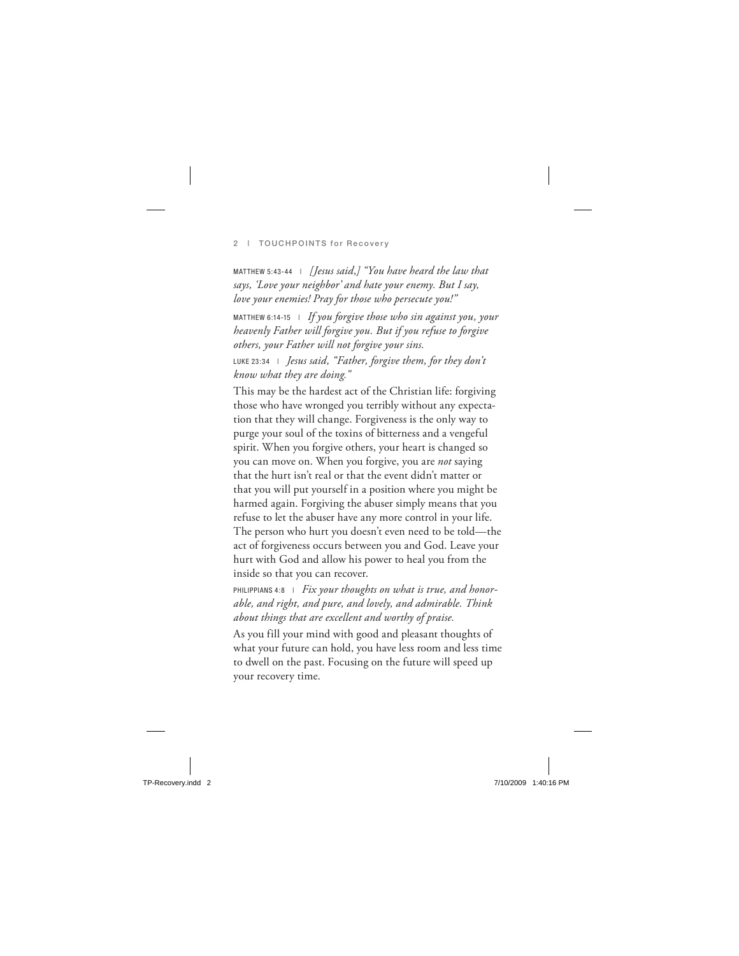MATTHEW 5:43-44 | *[Jesus said,] "You have heard the law that says, 'Love your neighbor' and hate your enemy. But I say, love your enemies! Pray for those who persecute you!"*

MATTHEW 6:14-15 | *If you forgive those who sin against you, your heavenly Father will forgive you. But if you refuse to forgive others, your Father will not forgive your sins.*

LUKE 23:34 | *Jesus said, "Father, forgive them, for they don't know what they are doing."*

This may be the hardest act of the Christian life: forgiving those who have wronged you terribly without any expectation that they will change. Forgiveness is the only way to purge your soul of the toxins of bitterness and a vengeful spirit. When you forgive others, your heart is changed so you can move on. When you forgive, you are *not* saying that the hurt isn't real or that the event didn't matter or that you will put yourself in a position where you might be harmed again. Forgiving the abuser simply means that you refuse to let the abuser have any more control in your life. The person who hurt you doesn't even need to be told—the act of forgiveness occurs between you and God. Leave your hurt with God and allow his power to heal you from the inside so that you can recover.

PHILIPPIANS 4:8 | Fix your thoughts on what is true, and honor*able, and right, and pure, and lovely, and admirable. Think about things that are excellent and worthy of praise.*

As you fill your mind with good and pleasant thoughts of what your future can hold, you have less room and less time to dwell on the past. Focusing on the future will speed up your recovery time.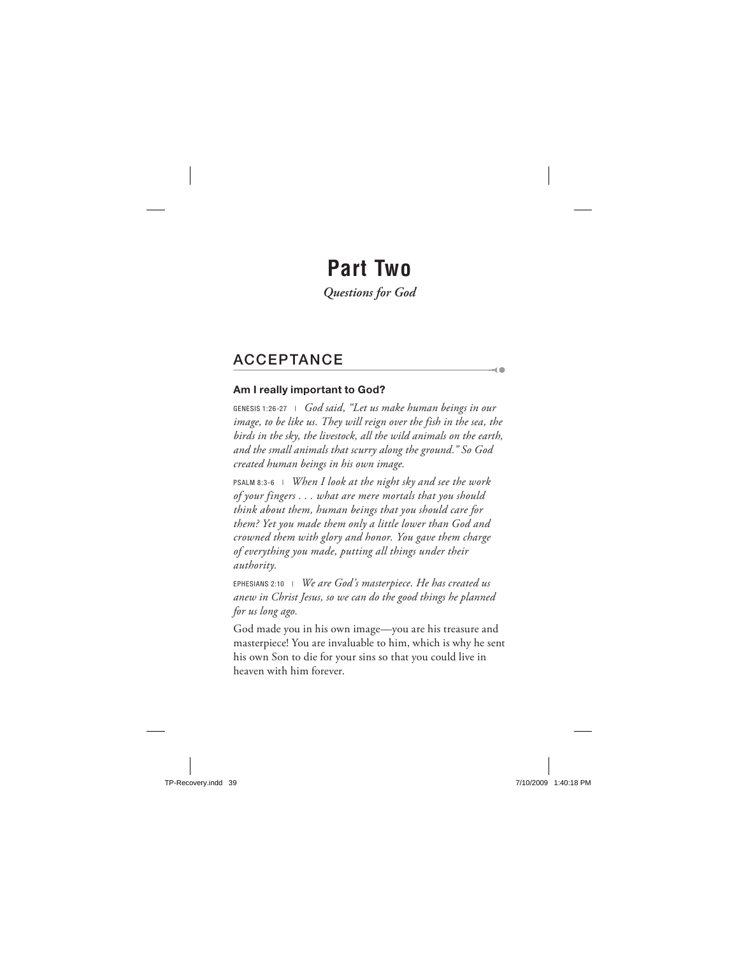## **Part Two**

*Questions for God*

## **ACCEPTANCE**

### **Am I really important to God?**

GENESIS 1:26-27 | *God said, "Let us make human beings in our image, to be like us. They will reign over the fish in the sea, the birds in the sky, the livestock, all the wild animals on the earth, and the small animals that scurry along the ground." So God created human beings in his own image.*

-od (1)

PSALM 8:3-6 | *When I look at the night sky and see the work of your fingers . . . what are mere mortals that you should think about them, human beings that you should care for them? Yet you made them only a little lower than God and crowned them with glory and honor. You gave them charge of everything you made, putting all things under their authority.*

EPHESIANS 2:10 | *We are God's masterpiece. He has created us anew in Christ Jesus, so we can do the good things he planned for us long ago.*

God made you in his own image—you are his treasure and masterpiece! You are invaluable to him, which is why he sent his own Son to die for your sins so that you could live in heaven with him forever.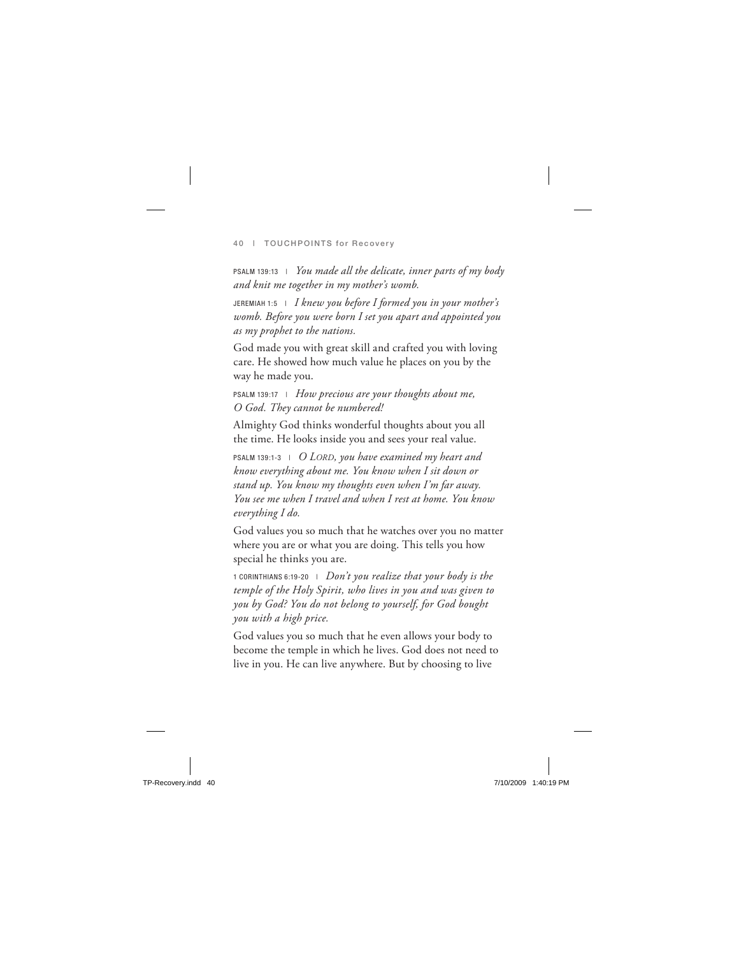PSALM 139:13 | *You made all the delicate, inner parts of my body and knit me together in my mother's womb.*

JEREMIAH 1:5 | *I knew you before I formed you in your mother's womb. Before you were born I set you apart and appointed you as my prophet to the nations.*

God made you with great skill and crafted you with loving care. He showed how much value he places on you by the way he made you.

PSALM 139:17 | *How precious are your thoughts about me, O God. They cannot be numbered!*

Almighty God thinks wonderful thoughts about you all the time. He looks inside you and sees your real value.

PSALM 139:1-3 | *O LORD, you have examined my heart and know everything about me. You know when I sit down or stand up. You know my thoughts even when I'm far away. You see me when I travel and when I rest at home. You know everything I do.*

God values you so much that he watches over you no matter where you are or what you are doing. This tells you how special he thinks you are.

1 CORINTHIANS 6:19-20 | *Don't you realize that your body is the temple of the Holy Spirit, who lives in you and was given to you by God? You do not belong to yourself, for God bought you with a high price.*

God values you so much that he even allows your body to become the temple in which he lives. God does not need to live in you. He can live anywhere. But by choosing to live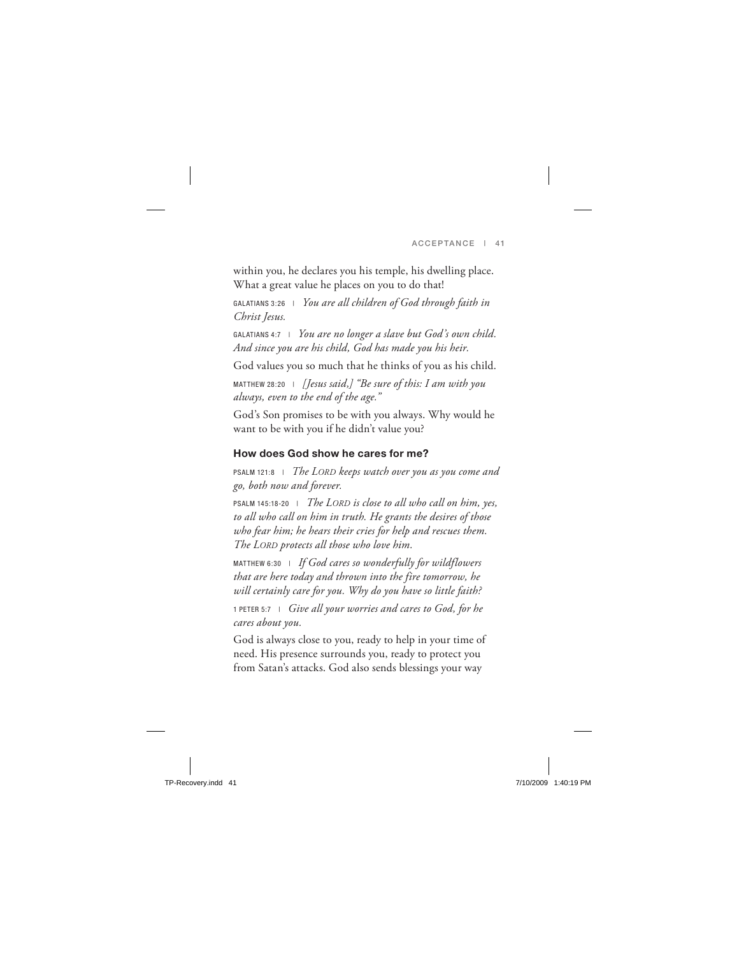within you, he declares you his temple, his dwelling place. What a great value he places on you to do that!

GALATIANS 3:26 | *You are all children of God through faith in Christ Jesus.*

GALATIANS 4:7 | *You are no longer a slave but God's own child. And since you are his child, God has made you his heir.*

God values you so much that he thinks of you as his child.

MATTHEW 28:20 | *[Jesus said,] "Be sure of this: I am with you always, even to the end of the age."*

God's Son promises to be with you always. Why would he want to be with you if he didn't value you?

## **How does God show he cares for me?**

PSALM 121:8 | *The LORD keeps watch over you as you come and go, both now and forever.*

PSALM 145:18-20 | *The LORD is close to all who call on him, yes, to all who call on him in truth. He grants the desires of those who fear him; he hears their cries for help and rescues them. The LORD protects all those who love him.*

MATTHEW 6:30 | *If God cares so wonderfully for wildflowers that are here today and thrown into the fire tomorrow, he will certainly care for you. Why do you have so little faith?*

1 PETER 5:7 | *Give all your worries and cares to God, for he cares about you.*

God is always close to you, ready to help in your time of need. His presence surrounds you, ready to protect you from Satan's attacks. God also sends blessings your way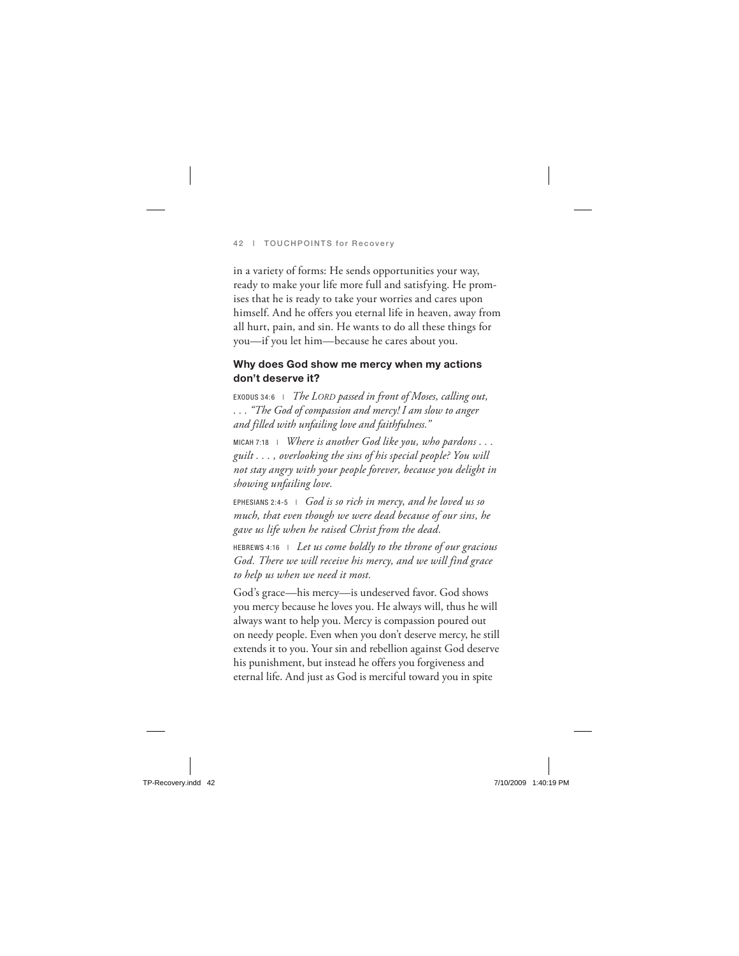in a variety of forms: He sends opportunities your way, ready to make your life more full and satisfying. He promises that he is ready to take your worries and cares upon himself. And he offers you eternal life in heaven, away from all hurt, pain, and sin. He wants to do all these things for you—if you let him—because he cares about you.

### **Why does God show me mercy when my actions don't deserve it?**

EXODUS 34:6 | *The LORD passed in front of Moses, calling out, . . . "The God of compassion and mercy! I am slow to anger and filled with unfailing love and faithfulness."*

MICAH 7:18 | *Where is another God like you, who pardons* . . . *guilt . . . , overlooking the sins of his special people? You will not stay angry with your people forever, because you delight in showing unfailing love.*

EPHESIANS 2:4-5 | *God is so rich in mercy, and he loved us so much, that even though we were dead because of our sins, he gave us life when he raised Christ from the dead.*

HEBREWS 4:16 | *Let us come boldly to the throne of our gracious God. There we will receive his mercy, and we will find grace to help us when we need it most.*

God's grace—his mercy—is undeserved favor. God shows you mercy because he loves you. He always will, thus he will always want to help you. Mercy is compassion poured out on needy people. Even when you don't deserve mercy, he still extends it to you. Your sin and rebellion against God deserve his punishment, but instead he offers you forgiveness and eternal life. And just as God is merciful toward you in spite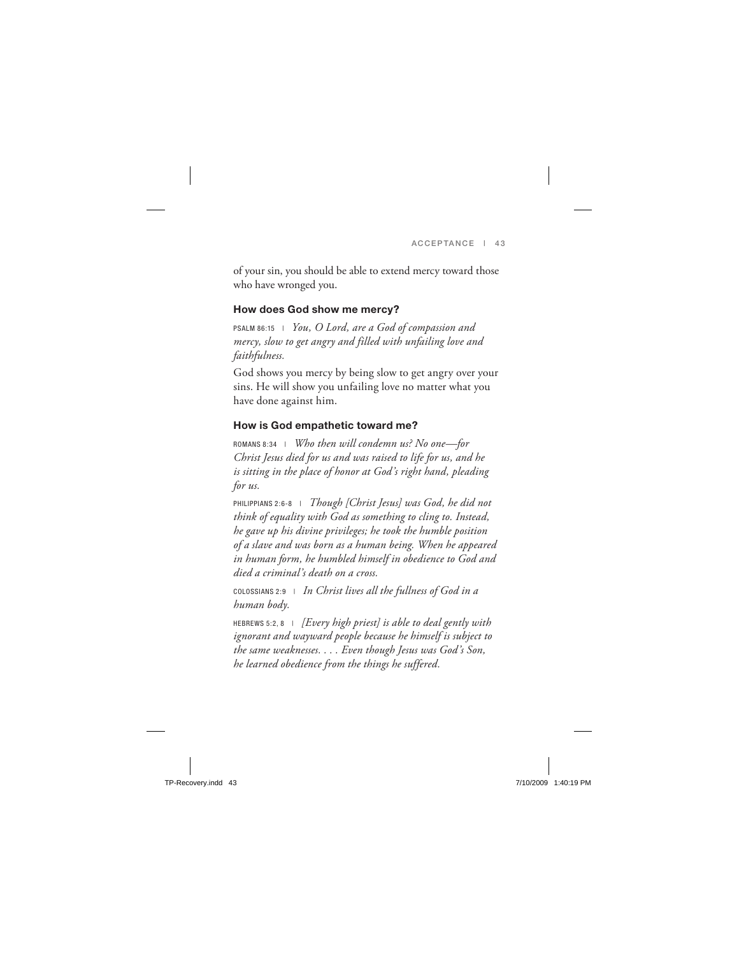of your sin, you should be able to extend mercy toward those who have wronged you.

#### **How does God show me mercy?**

PSALM 86:15 | *You, O Lord, are a God of compassion and mercy, slow to get angry and filled with unfailing love and faithfulness.*

God shows you mercy by being slow to get angry over your sins. He will show you unfailing love no matter what you have done against him.

### **How is God empathetic toward me?**

ROMANS 8:34 | *Who then will condemn us? No one—for Christ Jesus died for us and was raised to life for us, and he is sitting in the place of honor at God's right hand, pleading for us.*

PHILIPPIANS 2:6-8 | *Though [Christ Jesus] was God, he did not think of equality with God as something to cling to. Instead, he gave up his divine privileges; he took the humble position of a slave and was born as a human being. When he appeared in human form, he humbled himself in obedience to God and died a criminal's death on a cross.*

COLOSSIANS 2:9 | *In Christ lives all the fullness of God in a human body.*

HEBREWS 5:2, 8 | *[Every high priest] is able to deal gently with ignorant and wayward people because he himself is subject to the same weaknesses. . . . Even though Jesus was God's Son, he learned obedience from the things he suffered.*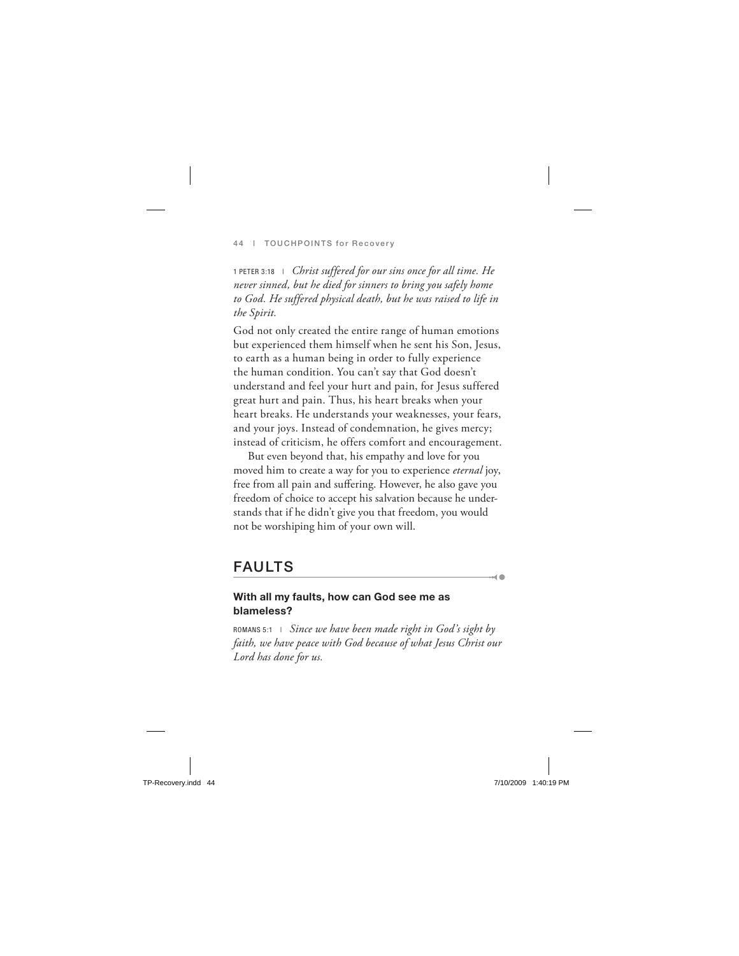1 PETER 3:18 | *Christ suffered for our sins once for all time. He never sinned, but he died for sinners to bring you safely home to God. He suffered physical death, but he was raised to life in the Spirit.*

God not only created the entire range of human emotions but experienced them himself when he sent his Son, Jesus, to earth as a human being in order to fully experience the human condition. You can't say that God doesn't understand and feel your hurt and pain, for Jesus suffered great hurt and pain. Thus, his heart breaks when your heart breaks. He understands your weaknesses, your fears, and your joys. Instead of condemnation, he gives mercy; instead of criticism, he offers comfort and encouragement.

But even beyond that, his empathy and love for you moved him to create a way for you to experience *eternal* joy, free from all pain and suffering. However, he also gave you freedom of choice to accept his salvation because he understands that if he didn't give you that freedom, you would not be worshiping him of your own will.

## **FAULTS**

#### **With all my faults, how can God see me as blameless?**

ROMANS 5:1 | *Since we have been made right in God's sight by faith, we have peace with God because of what Jesus Christ our Lord has done for us.*

 $\sim$  0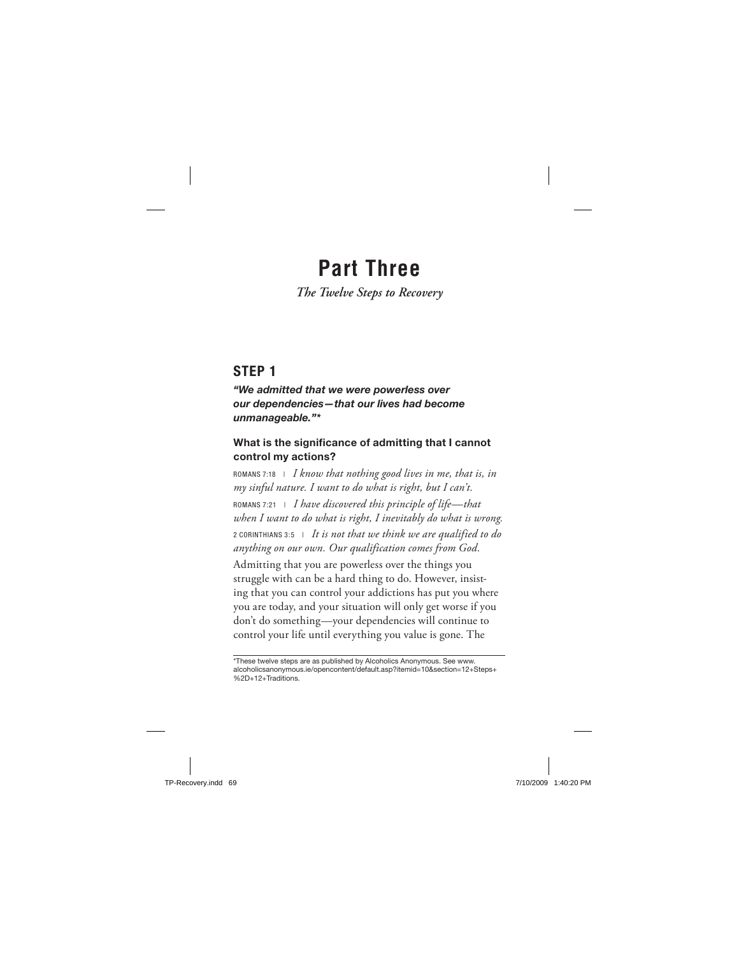## **Part Three**

*The Twelve Steps to Recovery*

## **STEP 1**

*"We admitted that we were powerless over our dependencies—that our lives had become unmanageable."\**

### **What is the significance of admitting that I cannot control my actions?**

ROMANS 7:18 | *I know that nothing good lives in me, that is, in my sinful nature. I want to do what is right, but I can't.* ROMANS 7:21 | *I have discovered this principle of life—that when I want to do what is right, I inevitably do what is wrong.* 2 CORINTHIANS 3:5 | *It is not that we think we are qualified to do anything on our own. Our qualification comes from God.* Admitting that you are powerless over the things you struggle with can be a hard thing to do. However, insisting that you can control your addictions has put you where you are today, and your situation will only get worse if you don't do something—your dependencies will continue to control your life until everything you value is gone. The

<sup>\*</sup>These twelve steps are as published by Alcoholics Anonymous. See www. alcoholicsanonymous.ie/opencontent/default.asp?itemid=10&section=12+Steps+ %2D+12+Traditions.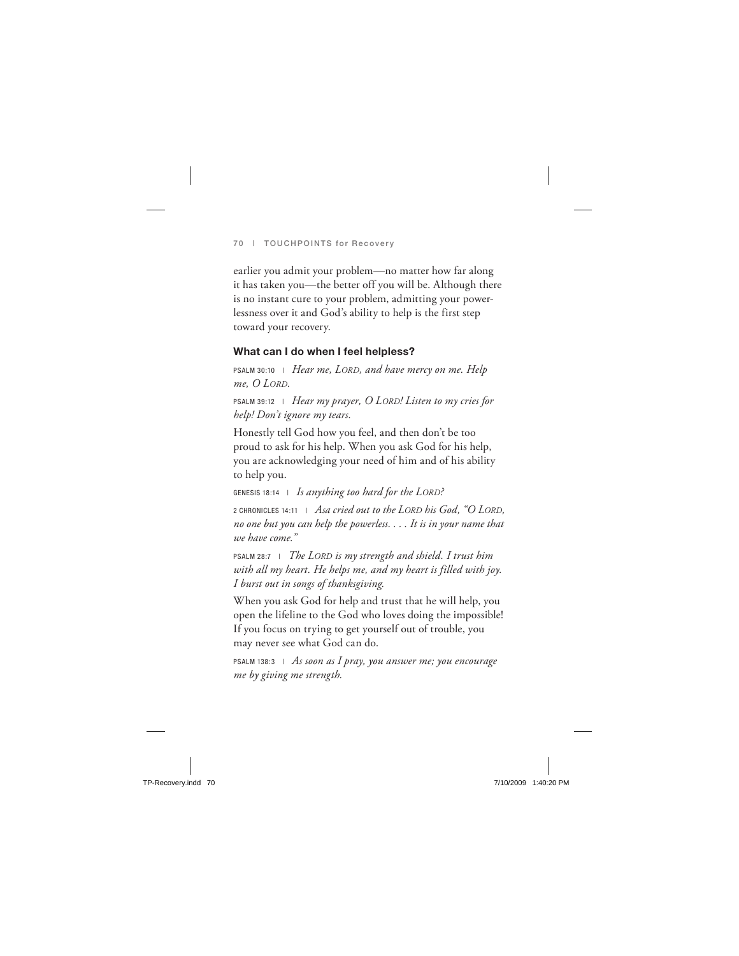earlier you admit your problem—no matter how far along it has taken you—the better off you will be. Although there is no instant cure to your problem, admitting your powerlessness over it and God's ability to help is the first step toward your recovery.

### **What can I do when I feel helpless?**

PSALM 30:10 | *Hear me, LORD, and have mercy on me. Help me, O LORD.*

PSALM 39:12 | *Hear my prayer, O LORD! Listen to my cries for help! Don't ignore my tears.*

Honestly tell God how you feel, and then don't be too proud to ask for his help. When you ask God for his help, you are acknowledging your need of him and of his ability to help you.

GENESIS 18:14 | *Is anything too hard for the LORD?*

2 CHRONICLES 14:11 | *Asa cried out to the LORD his God, "O LORD, no one but you can help the powerless. . . . It is in your name that we have come."*

PSALM 28:7 | *The LORD is my strength and shield. I trust him with all my heart. He helps me, and my heart is filled with joy. I burst out in songs of thanksgiving.*

When you ask God for help and trust that he will help, you open the lifeline to the God who loves doing the impossible! If you focus on trying to get yourself out of trouble, you may never see what God can do.

PSALM 138:3 | *As soon as I pray, you answer me; you encourage me by giving me strength.*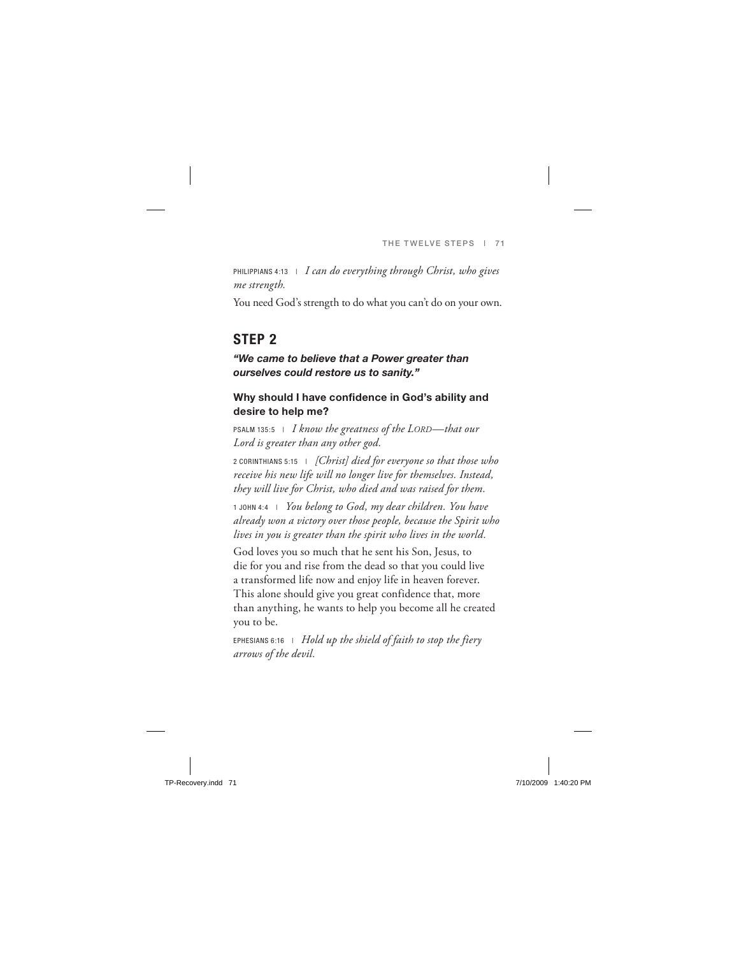PHILIPPIANS 4:13 | *I can do everything through Christ, who gives me strength.*

You need God's strength to do what you can't do on your own.

## **STEP 2**

#### *"We came to believe that a Power greater than ourselves could restore us to sanity."*

### **Why should I have confidence in God's ability and desire to help me?**

PSALM 135:5 | *I know the greatness of the LORD—that our Lord is greater than any other god.*

2 CORINTHIANS 5:15 | *[Christ] died for everyone so that those who receive his new life will no longer live for themselves. Instead, they will live for Christ, who died and was raised for them.*

1 JOHN 4:4 | *You belong to God, my dear children. You have already won a victory over those people, because the Spirit who lives in you is greater than the spirit who lives in the world.*

God loves you so much that he sent his Son, Jesus, to die for you and rise from the dead so that you could live a transformed life now and enjoy life in heaven forever. This alone should give you great confidence that, more than anything, he wants to help you become all he created you to be.

EPHESIANS 6:16 | *Hold up the shield of faith to stop the fiery arrows of the devil.*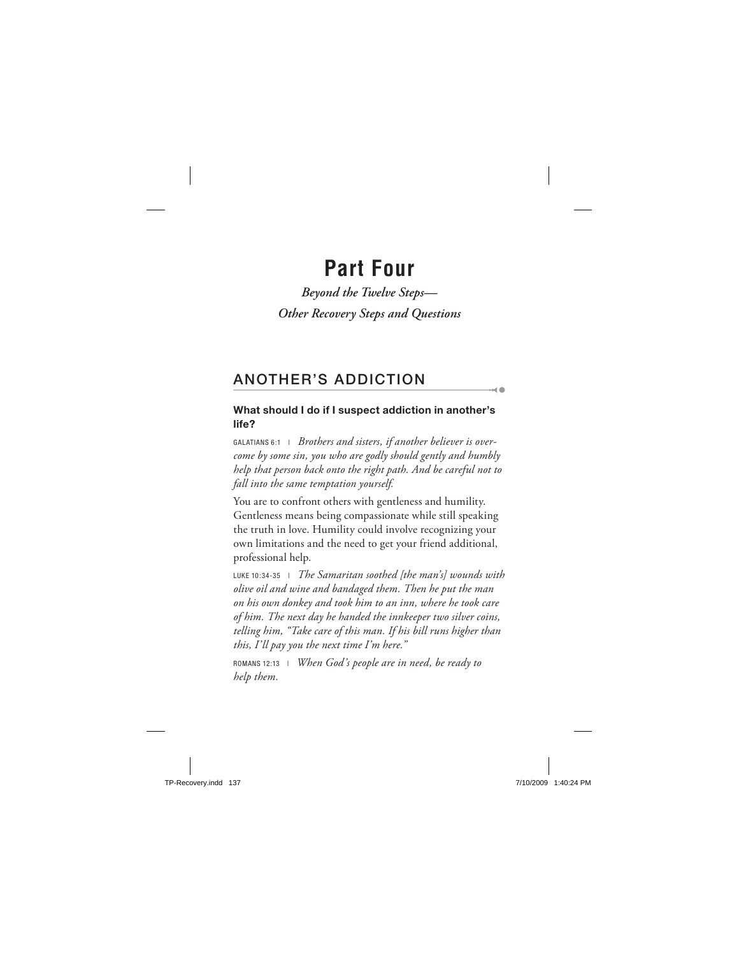## **Part Four**

*Beyond the Twelve Steps— Other Recovery Steps and Questions*

## **ANOTHER'S ADDICTION**

## **What should I do if I suspect addiction in another's life?**

 $\sim$  0

GALATIANS 6:1 | *Brothers and sisters, if another believer is overcome by some sin, you who are godly should gently and humbly help that person back onto the right path. And be careful not to fall into the same temptation yourself.*

You are to confront others with gentleness and humility. Gentleness means being compassionate while still speaking the truth in love. Humility could involve recognizing your own limitations and the need to get your friend additional, professional help.

LUKE 10:34-35 | *The Samaritan soothed [the man's] wounds with olive oil and wine and bandaged them. Then he put the man on his own donkey and took him to an inn, where he took care of him. The next day he handed the innkeeper two silver coins, telling him, "Take care of this man. If his bill runs higher than this, I'll pay you the next time I'm here."*

ROMANS 12:13 | *When God's people are in need, be ready to help them.*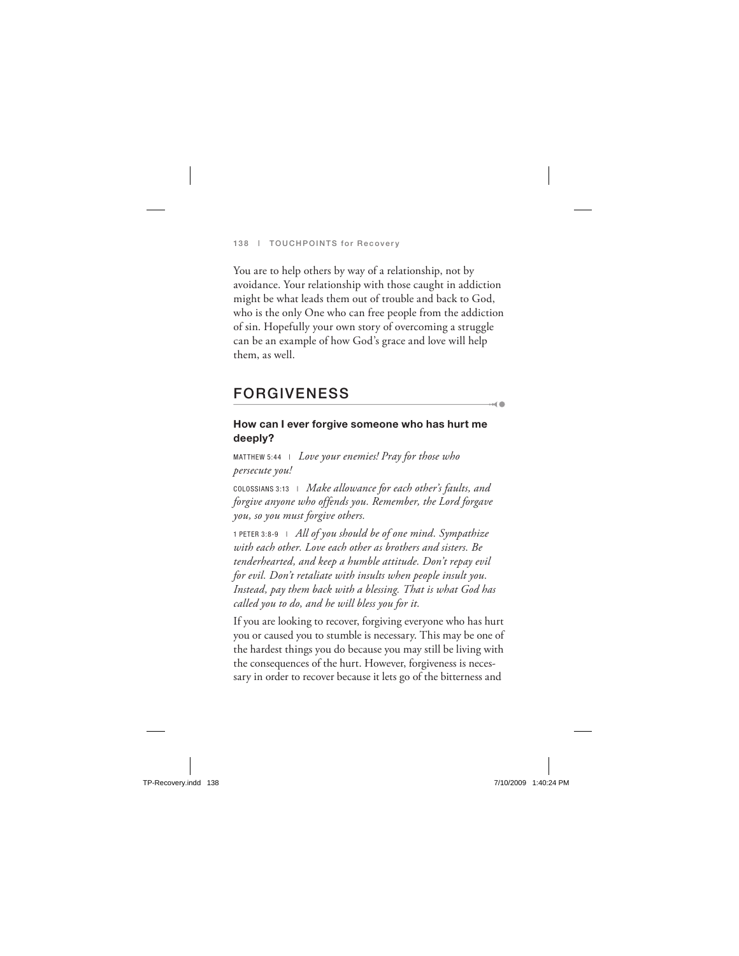You are to help others by way of a relationship, not by avoidance. Your relationship with those caught in addiction might be what leads them out of trouble and back to God, who is the only One who can free people from the addiction of sin. Hopefully your own story of overcoming a struggle can be an example of how God's grace and love will help them, as well.

## **FORGIVENESS**

#### **How can I ever forgive someone who has hurt me deeply?**

od 6

MATTHEW 5:44 | *Love your enemies! Pray for those who persecute you!*

COLOSSIANS 3:13 | *Make allowance for each other's faults, and forgive anyone who offends you. Remember, the Lord forgave you, so you must forgive others.*

1 PETER 3:8-9 | *All of you should be of one mind. Sympathize with each other. Love each other as brothers and sisters. Be tenderhearted, and keep a humble attitude. Don't repay evil for evil. Don't retaliate with insults when people insult you. Instead, pay them back with a blessing. That is what God has called you to do, and he will bless you for it.*

If you are looking to recover, forgiving everyone who has hurt you or caused you to stumble is necessary. This may be one of the hardest things you do because you may still be living with the consequences of the hurt. However, forgiveness is necessary in order to recover because it lets go of the bitterness and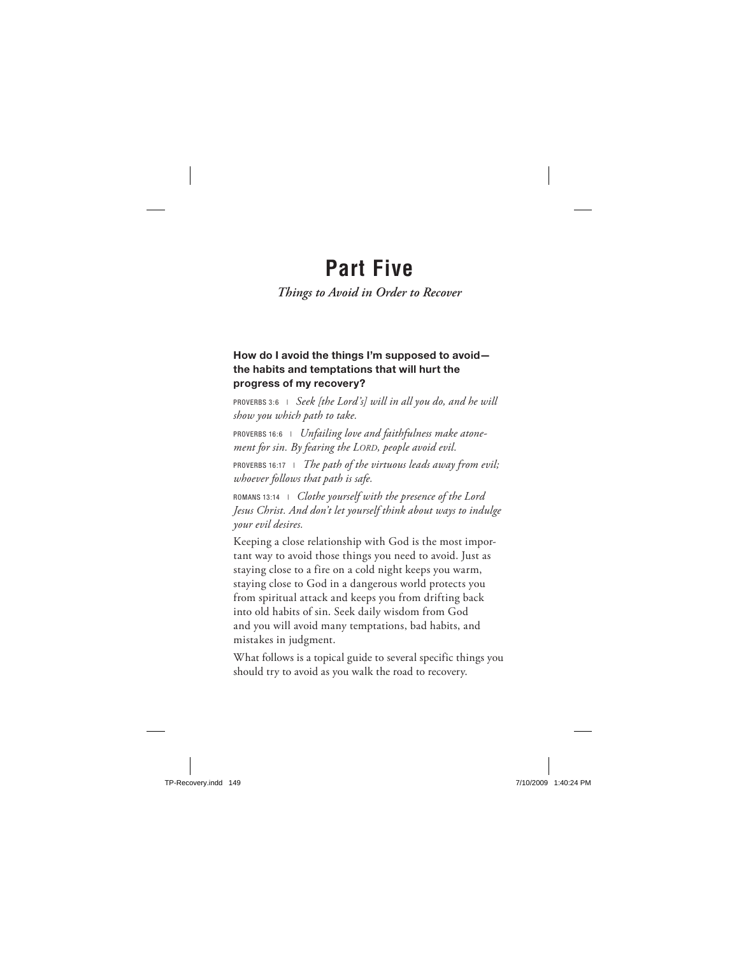## **Part Five**

## *Things to Avoid in Order to Recover*

## **How do I avoid the things I'm supposed to avoid the habits and temptations that will hurt the progress of my recovery?**

PROVERBS 3:6 | *Seek [the Lord's] will in all you do, and he will show you which path to take.*

PROVERBS 16:6 | *Unfailing love and faithfulness make atonement for sin. By fearing the LORD, people avoid evil.*

PROVERBS 16:17 | *The path of the virtuous leads away from evil; whoever follows that path is safe.*

ROMANS 13:14 | *Clothe yourself with the presence of the Lord Jesus Christ. And don't let yourself think about ways to indulge your evil desires.*

Keeping a close relationship with God is the most important way to avoid those things you need to avoid. Just as staying close to a fire on a cold night keeps you warm, staying close to God in a dangerous world protects you from spiritual attack and keeps you from drifting back into old habits of sin. Seek daily wisdom from God and you will avoid many temptations, bad habits, and mistakes in judgment.

What follows is a topical guide to several specific things you should try to avoid as you walk the road to recovery.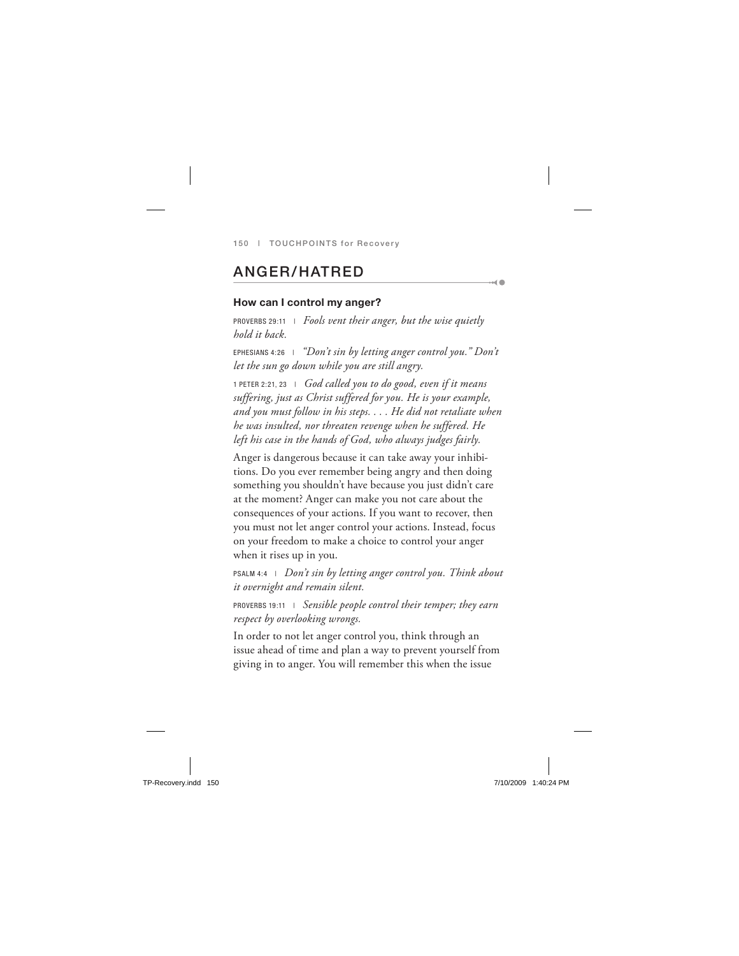## **ANGER/HATRED**

#### **How can I control my anger?**

PROVERBS 29:11 | *Fools vent their anger, but the wise quietly hold it back.*

EPHESIANS 4:26 | *"Don't sin by letting anger control you." Don't let the sun go down while you are still angry.*

 $-40$ 

1 PETER 2:21, 23 | *God called you to do good, even if it means suffering, just as Christ suffered for you. He is your example, and you must follow in his steps. . . . He did not retaliate when he was insulted, nor threaten revenge when he suffered. He left his case in the hands of God, who always judges fairly.*

Anger is dangerous because it can take away your inhibitions. Do you ever remember being angry and then doing something you shouldn't have because you just didn't care at the moment? Anger can make you not care about the consequences of your actions. If you want to recover, then you must not let anger control your actions. Instead, focus on your freedom to make a choice to control your anger when it rises up in you.

PSALM 4:4 | *Don't sin by letting anger control you. Think about it overnight and remain silent.*

PROVERBS 19:11 | *Sensible people control their temper; they earn respect by overlooking wrongs.*

In order to not let anger control you, think through an issue ahead of time and plan a way to prevent yourself from giving in to anger. You will remember this when the issue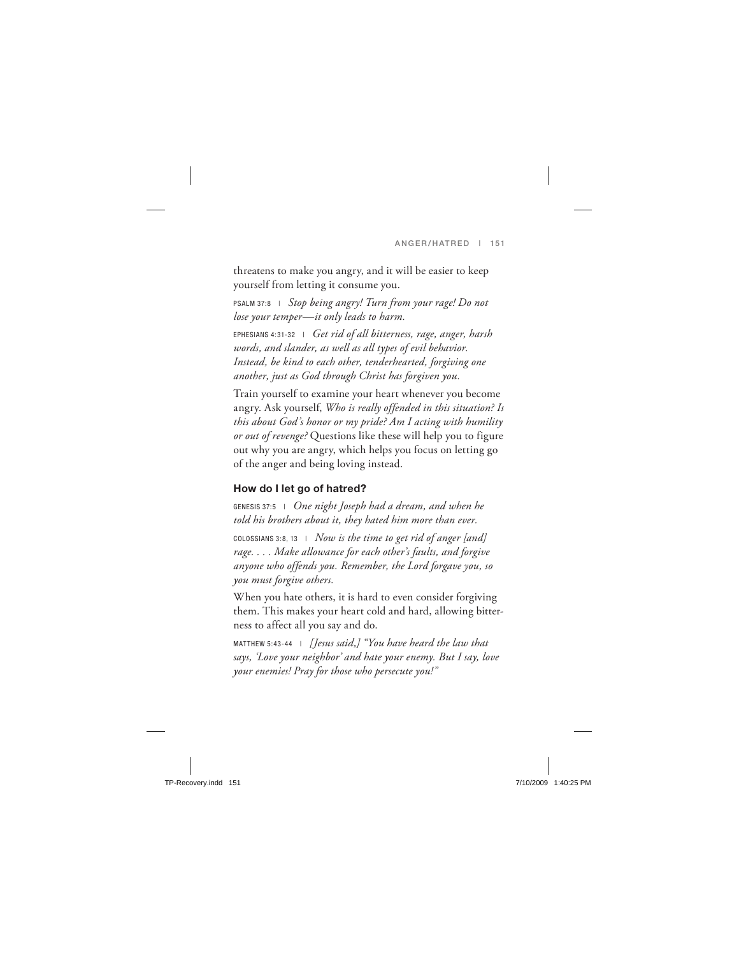threatens to make you angry, and it will be easier to keep yourself from letting it consume you.

PSALM 37:8 | *Stop being angry! Turn from your rage! Do not lose your temper—it only leads to harm.*

EPHESIANS 4:31-32 | *Get rid of all bitterness, rage, anger, harsh words, and slander, as well as all types of evil behavior. Instead, be kind to each other, tenderhearted, forgiving one another, just as God through Christ has forgiven you.*

Train yourself to examine your heart whenever you become angry. Ask yourself, *Who is really offended in this situation? Is this about God's honor or my pride? Am I acting with humility or out of revenge?* Questions like these will help you to figure out why you are angry, which helps you focus on letting go of the anger and being loving instead.

## **How do I let go of hatred?**

GENESIS 37:5 | *One night Joseph had a dream, and when he told his brothers about it, they hated him more than ever.*

COLOSSIANS 3:8, 13 | *Now is the time to get rid of anger [and] rage. . . . Make allowance for each other's faults, and forgive anyone who offends you. Remember, the Lord forgave you, so you must forgive others.*

When you hate others, it is hard to even consider forgiving them. This makes your heart cold and hard, allowing bitterness to affect all you say and do.

MATTHEW 5:43-44 | *[Jesus said,] "You have heard the law that says, 'Love your neighbor' and hate your enemy. But I say, love your enemies! Pray for those who persecute you!"*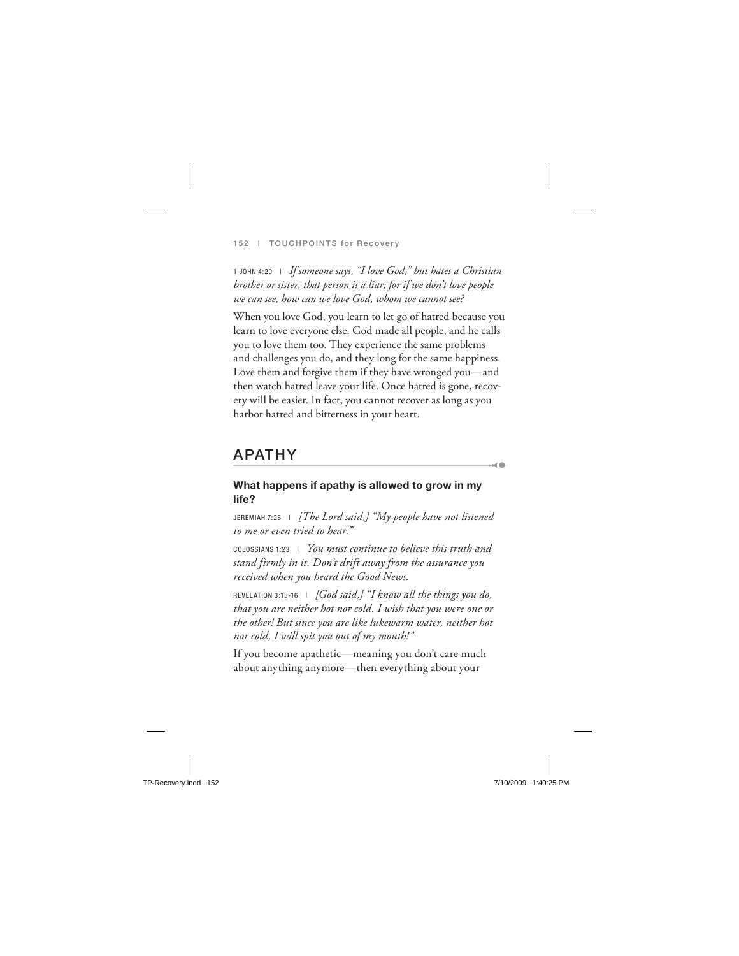1 JOHN 4:20 | *If someone says, "I love God," but hates a Christian brother or sister, that person is a liar; for if we don't love people we can see, how can we love God, whom we cannot see?*

When you love God, you learn to let go of hatred because you learn to love everyone else. God made all people, and he calls you to love them too. They experience the same problems and challenges you do, and they long for the same happiness. Love them and forgive them if they have wronged you—and then watch hatred leave your life. Once hatred is gone, recovery will be easier. In fact, you cannot recover as long as you harbor hatred and bitterness in your heart.

## **APATHY**

#### **What happens if apathy is allowed to grow in my life?**

 $\rightarrow$  0

JEREMIAH 7:26 | *[The Lord said,] "My people have not listened to me or even tried to hear."*

COLOSSIANS 1:23 | *You must continue to believe this truth and stand firmly in it. Don't drift away from the assurance you received when you heard the Good News.*

REVELATION 3:15-16 | *[God said,] "I know all the things you do, that you are neither hot nor cold. I wish that you were one or the other! But since you are like lukewarm water, neither hot nor cold, I will spit you out of my mouth!"*

If you become apathetic—meaning you don't care much about anything anymore—then everything about your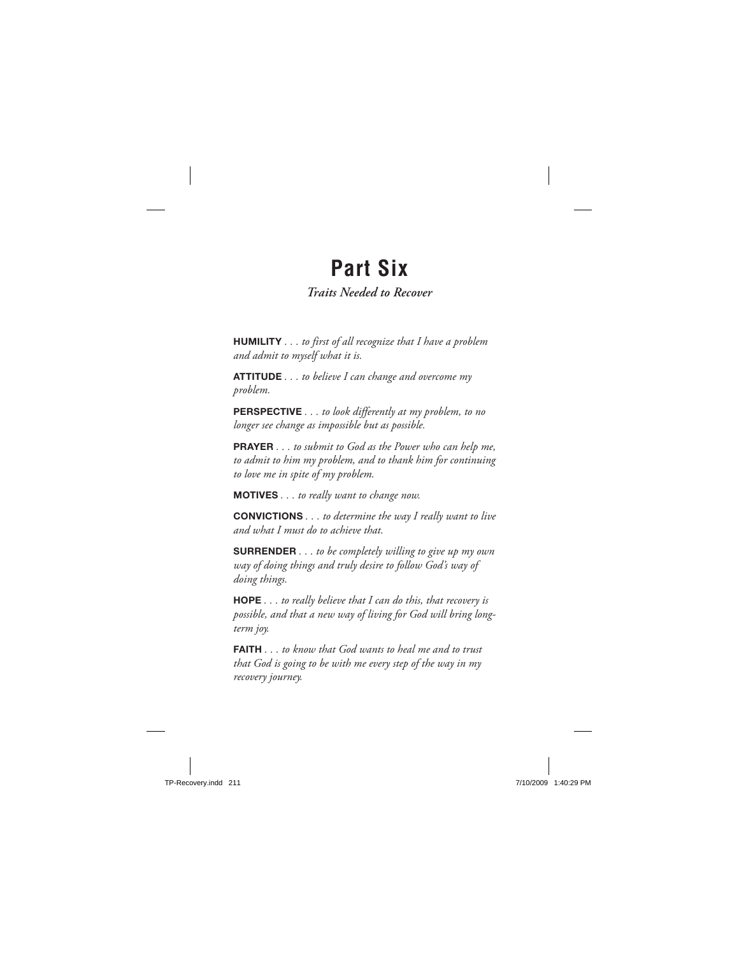## **Part Six**

## *Traits Needed to Recover*

**HUMILITY** *. . . to first of all recognize that I have a problem and admit to myself what it is.*

**ATTITUDE** *. . . to believe I can change and overcome my problem.*

**PERSPECTIVE** *. . . to look differently at my problem, to no longer see change as impossible but as possible.*

**PRAYER** *. . . to submit to God as the Power who can help me, to admit to him my problem, and to thank him for continuing to love me in spite of my problem.*

**MOTIVES** *. . . to really want to change now.*

**CONVICTIONS** *. . . to determine the way I really want to live and what I must do to achieve that.*

**SURRENDER** *. . . to be completely willing to give up my own way of doing things and truly desire to follow God's way of doing things.*

**HOPE** *. . . to really believe that I can do this, that recovery is possible, and that a new way of living for God will bring longterm joy.*

**FAITH** *. . . to know that God wants to heal me and to trust that God is going to be with me every step of the way in my recovery journey.*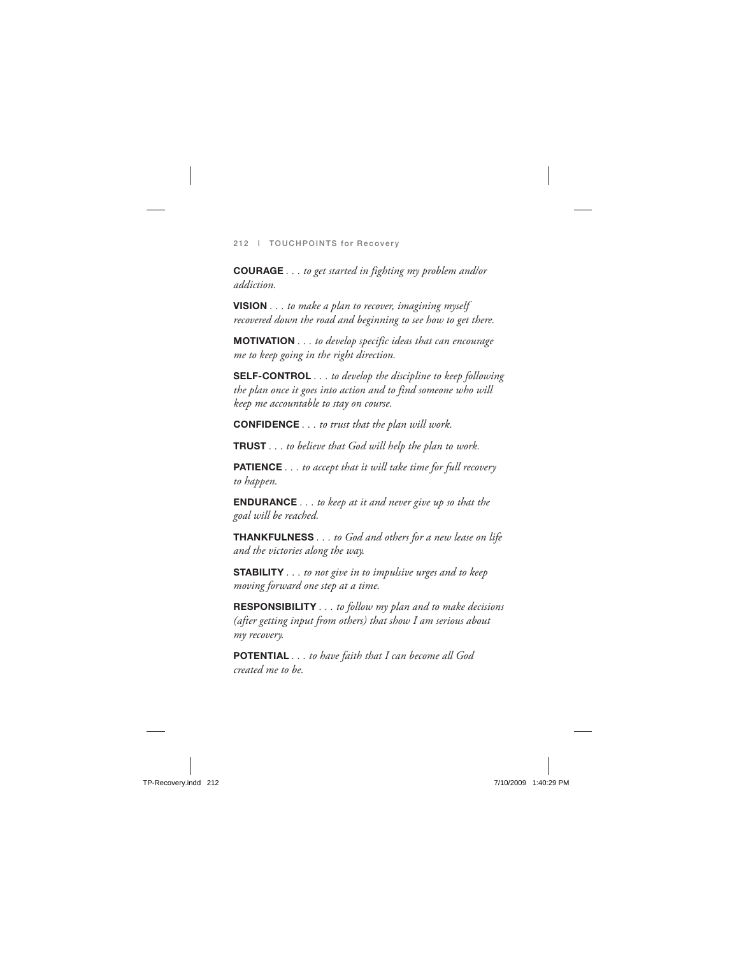**COURAGE** *. . . to get started in fighting my problem and/or addiction.*

**VISION** *. . . to make a plan to recover, imagining myself recovered down the road and beginning to see how to get there.*

**MOTIVATION** *. . . to develop specific ideas that can encourage me to keep going in the right direction.*

**SELF-CONTROL** *. . . to develop the discipline to keep following the plan once it goes into action and to find someone who will keep me accountable to stay on course.*

**CONFIDENCE** *. . . to trust that the plan will work.*

**TRUST** *. . . to believe that God will help the plan to work.*

**PATIENCE** *. . . to accept that it will take time for full recovery to happen.*

**ENDURANCE** *. . . to keep at it and never give up so that the goal will be reached.*

**THANKFULNESS** *. . . to God and others for a new lease on life and the victories along the way.*

**STABILITY** *. . . to not give in to impulsive urges and to keep moving forward one step at a time.*

**RESPONSIBILITY** *. . . to follow my plan and to make decisions (after getting input from others) that show I am serious about my recovery.*

**POTENTIAL** *. . . to have faith that I can become all God created me to be.*